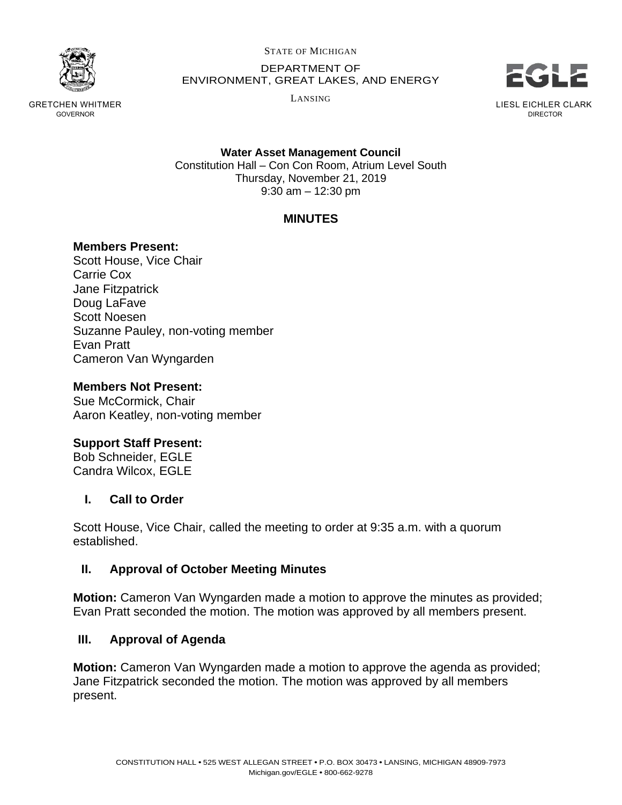

GRETCHEN WHITMER GOVERNOR

STATE OF MICHIGAN

DEPARTMENT OF ENVIRONMENT, GREAT LAKES, AND ENERGY

LANSING



LIESL EICHLER CLARK DIRECTOR

**Water Asset Management Council** Constitution Hall – Con Con Room, Atrium Level South Thursday, November 21, 2019 9:30 am – 12:30 pm

# **MINUTES**

### **Members Present:**

Scott House, Vice Chair Carrie Cox Jane Fitzpatrick Doug LaFave Scott Noesen Suzanne Pauley, non-voting member Evan Pratt Cameron Van Wyngarden

### **Members Not Present:**

Sue McCormick, Chair Aaron Keatley, non-voting member

### **Support Staff Present:**

Bob Schneider, EGLE Candra Wilcox, EGLE

### **I. Call to Order**

Scott House, Vice Chair, called the meeting to order at 9:35 a.m. with a quorum established.

### **II. Approval of October Meeting Minutes**

**Motion:** Cameron Van Wyngarden made a motion to approve the minutes as provided; Evan Pratt seconded the motion. The motion was approved by all members present.

### **III. Approval of Agenda**

**Motion:** Cameron Van Wyngarden made a motion to approve the agenda as provided; Jane Fitzpatrick seconded the motion. The motion was approved by all members present.